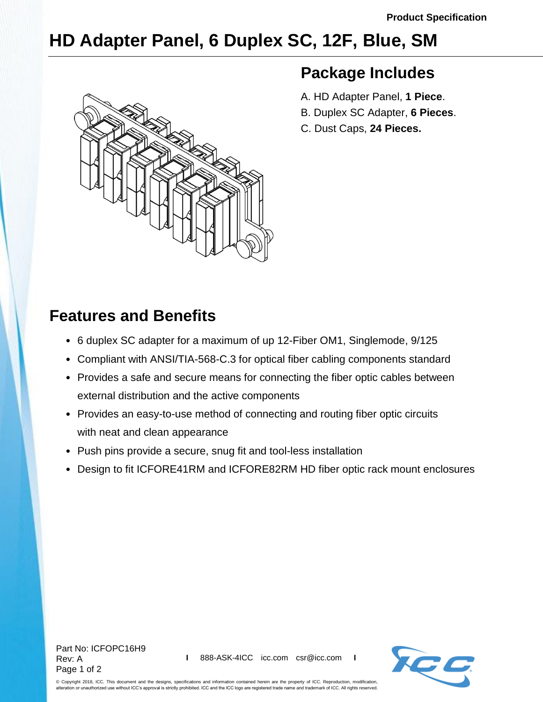## **HD Adapter Panel, 6 Duplex SC, 12F, Blue, SM**



## **Package Includes**

- A. HD Adapter Panel, **1 Piece**.
- B. Duplex SC Adapter, **6 Pieces**.
- C. Dust Caps, **24 Pieces.**

## **Features and Benefits**

- 6 duplex SC adapter for a maximum of up 12-Fiber OM1, Singlemode, 9/125
- Compliant with ANSI/TIA-568-C.3 for optical fiber cabling components standard
- Provides a safe and secure means for connecting the fiber optic cables between external distribution and the active components
- Provides an easy-to-use method of connecting and routing fiber optic circuits with neat and clean appearance
- Push pins provide a secure, snug fit and tool-less installation
- Design to fit ICFORE41RM and ICFORE82RM HD fiber optic rack mount enclosures



© Copyright 2018, ICC. This document and the designs, specifications and information contained herein are the property of ICC. Reproduction, modification, alteration or unauthorized use without ICC's approval is strictly prohibited. ICC and the ICC logo are registered trade name and trademark of ICC. All rights reserved.